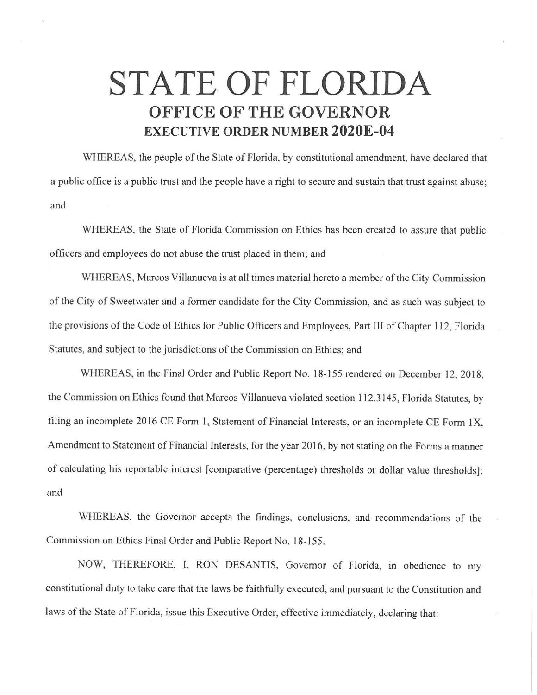## **STATE OF FLORIDA OFFICE OF THE GOVERNOR EXECUTIVE ORDER NUMBER 2020E-04**

WHEREAS, the people of the State of Florida, by constitutional amendment, have declared that a public office is a public trust and the people have a right to secure and sustain that trust against abuse; and

WHEREAS, the State of Florida Commission on Ethics has been created to assure that public officers and employees do not abuse the trust placed in them; and

WHEREAS, Marcos Villanueva is at all times material hereto a member of the City Commission of the City of Sweetwater and a former candidate for the City Commission, and as such was subject to the provisions of the Code of Ethics for Public Officers and Employees, Part III of Chapter 112, Florida Statutes, and subject to the jurisdictions of the Commission on Ethics; and

WHEREAS, in the Final Order and Public Report No. 18-155 rendered on December 12, 2018, the Commission on Ethics found that Marcos Villanueva violated section 112.3145, Florida Statutes, by filing an incomplete 2016 CE Form 1, Statement of Financial Interests, or an incomplete CE Form 1X, Amendment to Statement of Financial Interests, for the year 2016, by not stating on the Forms a manner of calculating his reportable interest [comparative (percentage) thresholds or dollar value thresholds]; and

WHEREAS, the Governor accepts the findings, conclusions, and recommendations of the Commission on Ethics Final Order and Public Report No. 18-155.

NOW, THEREFORE, I, RON DESANTIS, Governor of Florida, in obedience to my constitutional duty to take care that the laws be faithfully executed, and pursuant to the Constitution and laws of the State of Florida, issue this Executive Order, effective immediately, declaring that: